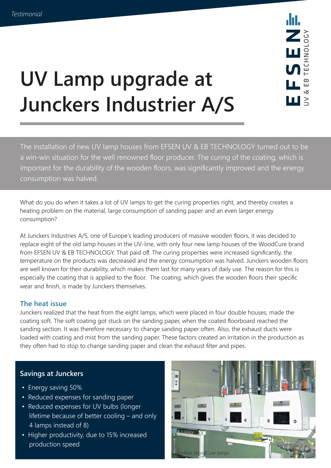

# **UV Lamp upgrade at Junckers Industrier A/S**

The installation of new UV lamp houses from EFSEN UV & EB TECHNOLOGY turned out to be a win-win situation for the well renowned floor producer. The curing of the coating, which is important for the durability of the wooden floors, was significantly improved and the energy consumption was halved.

What do you do when it takes a lot of UV lamps to get the curing properties right, and thereby creates a heating problem on the material, large consumption of sanding paper and an even larger energy consumption?

At Junckers Industries A/S, one of Europe's leading producers of massive wooden floors, it was decided to replace eight of the old lamp houses in the UV-line, with only four new lamp houses of the WoodCure brand from EFSEN UV & EB TECHNOLOGY. That paid off. The curing properties were increased significantly, the temperature on the products was decreased and the energy consumption was halved. Junckers wooden floors are well known for their durability, which makes them last for many years of daily use. The reason for this is especially the coating that is applied to the floor. The coating, which gives the wooden floors their specific wear and finish, is made by Junckers themselves.

# **The heat issue**

Junckers realized that the heat from the eight lamps, which were placed in four double houses, made the coating soft. The soft coating got stuck on the sanding paper, when the coated floorboard reached the sanding section. It was therefore necessary to change sanding paper often. Also, the exhaust ducts were loaded with coating and mist from the sanding paper. These factors created an irritation in the production as they often had to stop to change sanding paper and clean the exhaust filter and pipes.

# **Savings at Junckers**

- Energy saving 50%
- Reduced expenses for sanding paper
- Reduced expenses for UV bulbs (longer lifetime because of better cooling – and only 4 lamps instead of 8)
- Higher productivity, due to 15% increased production speed